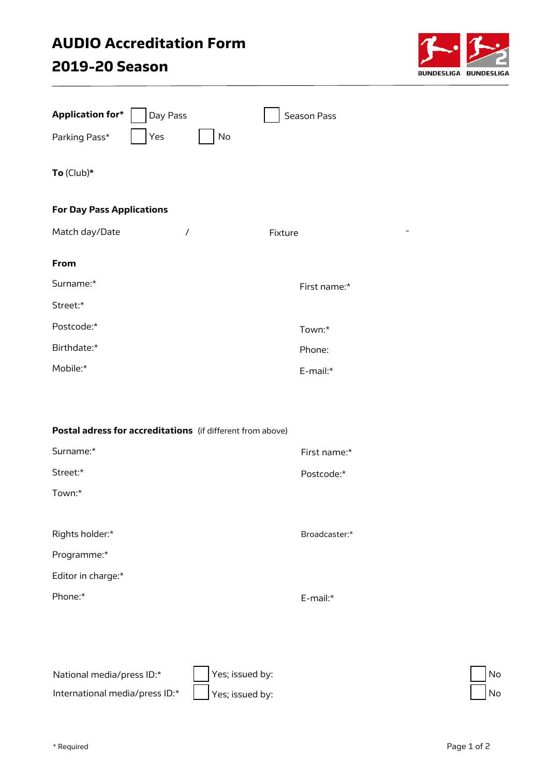## AUDIO Accreditation Form 2019-20 Season



| <b>Application for*</b>                                    | Day Pass            |    | <b>Season Pass</b> |  |
|------------------------------------------------------------|---------------------|----|--------------------|--|
| Parking Pass*                                              | Yes                 | No |                    |  |
| To $(Club)*$                                               |                     |    |                    |  |
| <b>For Day Pass Applications</b>                           |                     |    |                    |  |
| Match day/Date                                             | $\prime$<br>Fixture |    |                    |  |
| From                                                       |                     |    |                    |  |
| Surname:*                                                  |                     |    | First name:*       |  |
| Street:*                                                   |                     |    |                    |  |
| Postcode:*                                                 |                     |    | Town:*             |  |
| Birthdate:*                                                |                     |    | Phone:             |  |
| Mobile:*                                                   |                     |    | E-mail:*           |  |
| Postal adress for accreditations (if different from above) |                     |    |                    |  |
| Surname:*                                                  |                     |    | First name:*       |  |
| Street:*                                                   |                     |    | Postcode:*         |  |
| Town:*                                                     |                     |    |                    |  |
| Rights holder:*                                            |                     |    | Broadcaster:*      |  |
| Programme:*                                                |                     |    |                    |  |
| Editor in charge:*                                         |                     |    |                    |  |
| Phone:*                                                    |                     |    | E-mail:*           |  |